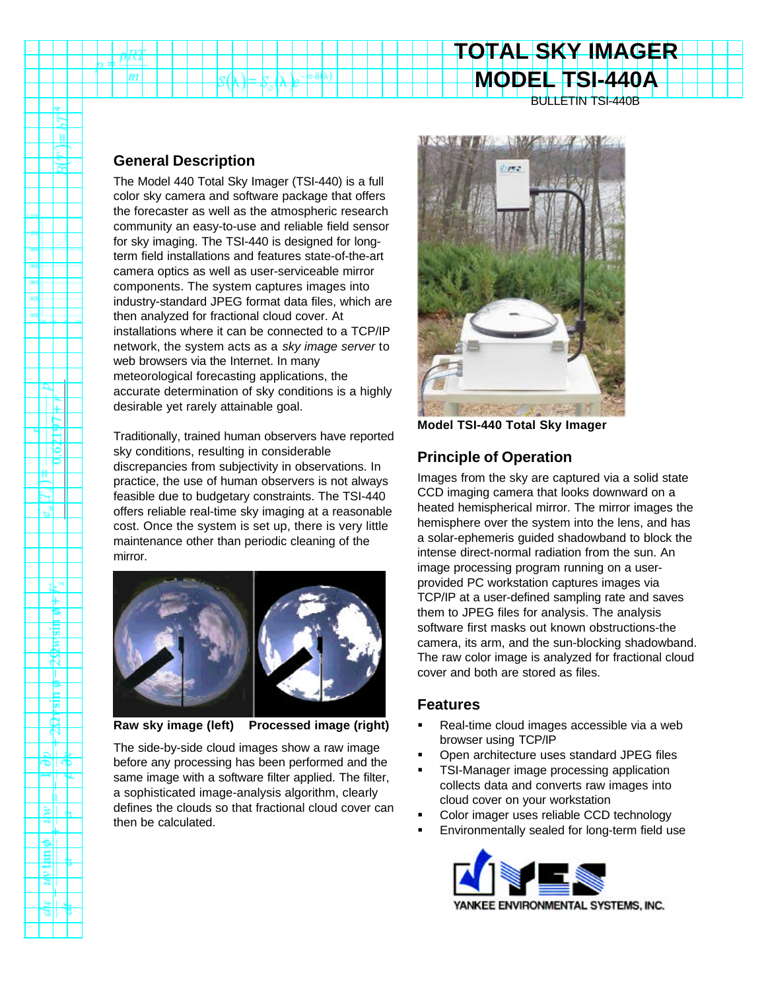#### BULLETIN TSI-440B

**TOTAL SKY IMAGER**

**MODEL TSI-440A**

#### **General Description**

m

Ιĕ JΡ ш

 $\frac{3}{2}$ 

۰L۶ ₩ ۴ 惕 B री ш E Ē E  $\mathbb{N}$ 

회

g۱

The Model 440 Total Sky Imager (TSI-440) is a full color sky camera and software package that offers the forecaster as well as the atmospheric research community an easy-to-use and reliable field sensor for sky imaging. The TSI-440 is designed for longterm field installations and features state-of-the-art camera optics as well as user-serviceable mirror components. The system captures images into industry-standard JPEG format data files, which are then analyzed for fractional cloud cover. At installations where it can be connected to a TCP/IP network, the system acts as a *sky image server* to web browsers via the Internet. In many meteorological forecasting applications, the accurate determination of sky conditions is a highly desirable yet rarely attainable goal.

Traditionally, trained human observers have reported sky conditions, resulting in considerable discrepancies from subjectivity in observations. In practice, the use of human observers is not always feasible due to budgetary constraints. The TSI-440 offers reliable real-time sky imaging at a reasonable cost. Once the system is set up, there is very little maintenance other than periodic cleaning of the mirror.



**Raw sky image (left) Processed image (right)**

The side-by-side cloud images show a raw image before any processing has been performed and the same image with a software filter applied. The filter, a sophisticated image-analysis algorithm, clearly defines the clouds so that fractional cloud cover can then be calculated.



**Model TSI-440 Total Sky Imager**

### **Principle of Operation**

Images from the sky are captured via a solid state CCD imaging camera that looks downward on a heated hemispherical mirror. The mirror images the hemisphere over the system into the lens, and has a solar-ephemeris guided shadowband to block the intense direct-normal radiation from the sun. An image processing program running on a userprovided PC workstation captures images via TCP/IP at a user-defined sampling rate and saves them to JPEG files for analysis. The analysis software first masks out known obstructions-the camera, its arm, and the sun-blocking shadowband. The raw color image is analyzed for fractional cloud cover and both are stored as files.

#### **Features**

- Real-time cloud images accessible via a web browser using TCP/IP
- ß Open architecture uses standard JPEG files
- ß TSI-Manager image processing application collects data and converts raw images into cloud cover on your workstation
- ß Color imager uses reliable CCD technology
- ß Environmentally sealed for long-term field use